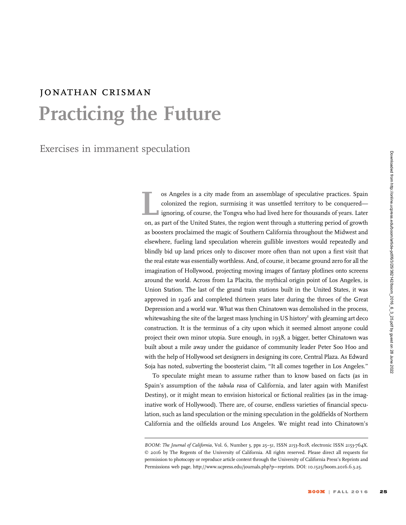## jonathan crisman Practicing the Future

Exercises in immanent speculation

os Angeles is a city made from an assemblage of speculative practices. Spain colonized the region, surmising it was unsettled territory to be conquered—ignoring, of course, the Tongva who had lived here for thousands of ye colonized the region, surmising it was unsettled territory to be conquered ignoring, of course, the Tongva who had lived here for thousands of years. Later on, as part of the United States, the region went through a stuttering period of growth as boosters proclaimed the magic of Southern California throughout the Midwest and elsewhere, fueling land speculation wherein gullible investors would repeatedly and blindly bid up land prices only to discover more often than not upon a first visit that the real estate was essentially worthless. And, of course, it became ground zero for all the imagination of Hollywood, projecting moving images of fantasy plotlines onto screens around the world. Across from La Placita, the mythical origin point of Los Angeles, is Union Station. The last of the grand train stations built in the United States, it was approved in 1926 and completed thirteen years later during the throes of the Great Depression and a world war. What was then Chinatown was demolished in the process, whitewashing the site of the largest mass lynching in US history<sup>1</sup> with gleaming art deco construction. It is the terminus of a city upon which it seemed almost anyone could project their own minor utopia. Sure enough, in 1938, a bigger, better Chinatown was built about a mile away under the guidance of community leader Peter Soo Hoo and with the help of Hollywood set designers in designing its core, Central Plaza. As Edward Soja has noted, subverting the boosterist claim, ''It all comes together in Los Angeles.''

To speculate might mean to assume rather than to know based on facts (as in Spain's assumption of the tabula rasa of California, and later again with Manifest Destiny), or it might mean to envision historical or fictional realities (as in the imaginative work of Hollywood). There are, of course, endless varieties of financial speculation, such as land speculation or the mining speculation in the goldfields of Northern California and the oilfields around Los Angeles. We might read into Chinatown's

BOOM: The Journal of California, Vol. 6, Number 3, pps 25-31, ISSN 2153-8018, electronic ISSN 2153-764X. © 2016 by The Regents of the University of California. All rights reserved. Please direct all requests for permission to photocopy or reproduce article content through the University of California Press's Reprints and Permissions web page, http://www.ucpress.edu/journals.php?p=reprints. DOI: 10.1525/boom.2016.6.3.25.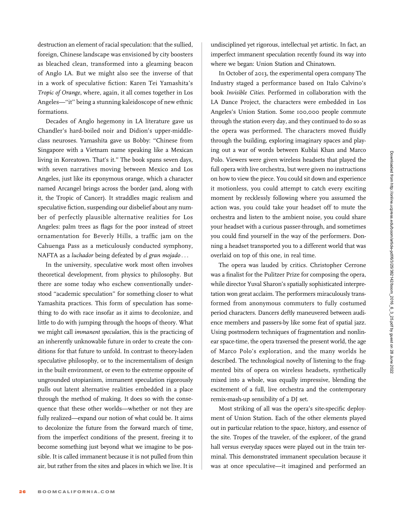destruction an element of racial speculation: that the sullied, foreign, Chinese landscape was envisioned by city boosters as bleached clean, transformed into a gleaming beacon of Anglo LA. But we might also see the inverse of that in a work of speculative fiction: Karen Tei Yamashita's Tropic of Orange, where, again, it all comes together in Los Angeles—''it'' being a stunning kaleidoscope of new ethnic formations.

Decades of Anglo hegemony in LA literature gave us Chandler's hard-boiled noir and Didion's upper-middleclass neuroses. Yamashita gave us Bobby: ''Chinese from Singapore with a Vietnam name speaking like a Mexican living in Koreatown. That's it.'' The book spans seven days, with seven narratives moving between Mexico and Los Angeles, just like its eponymous orange, which a character named Arcangel brings across the border (and, along with it, the Tropic of Cancer). It straddles magic realism and speculative fiction, suspending our disbelief about any number of perfectly plausible alternative realities for Los Angeles: palm trees as flags for the poor instead of street ornamentation for Beverly Hills, a traffic jam on the Cahuenga Pass as a meticulously conducted symphony, NAFTA as a luchador being defeated by el gran mojado ...

In the university, speculative work most often involves theoretical development, from physics to philosophy. But there are some today who eschew conventionally understood ''academic speculation'' for something closer to what Yamashita practices. This form of speculation has something to do with race insofar as it aims to decolonize, and little to do with jumping through the hoops of theory. What we might call immanent speculation, this is the practicing of an inherently unknowable future in order to create the conditions for that future to unfold. In contrast to theory-laden speculative philosophy, or to the incrementalism of design in the built environment, or even to the extreme opposite of ungrounded utopianism, immanent speculation rigorously pulls out latent alternative realities embedded in a place through the method of making. It does so with the consequence that these other worlds—whether or not they are fully realized—expand our notion of what could be. It aims to decolonize the future from the forward march of time, from the imperfect conditions of the present, freeing it to become something just beyond what we imagine to be possible. It is called immanent because it is not pulled from thin air, but rather from the sites and places in which we live. It is

undisciplined yet rigorous, intellectual yet artistic. In fact, an imperfect immanent speculation recently found its way into where we began: Union Station and Chinatown.

In October of 2013, the experimental opera company The Industry staged a performance based on Italo Calvino's book Invisible Cities. Performed in collaboration with the LA Dance Project, the characters were embedded in Los Angeles's Union Station. Some 100,000 people commute through the station every day, and they continued to do so as the opera was performed. The characters moved fluidly through the building, exploring imaginary spaces and playing out a war of words between Kublai Khan and Marco Polo. Viewers were given wireless headsets that played the full opera with live orchestra, but were given no instructions on how to view the piece. You could sit down and experience it motionless, you could attempt to catch every exciting moment by recklessly following where you assumed the action was, you could take your headset off to mute the orchestra and listen to the ambient noise, you could share your headset with a curious passer-through, and sometimes you could find yourself in the way of the performers. Donning a headset transported you to a different world that was overlaid on top of this one, in real time.

The opera was lauded by critics. Christopher Cerrone was a finalist for the Pulitzer Prize for composing the opera, while director Yuval Sharon's spatially sophisticated interpretation won great acclaim. The performers miraculously transformed from anonymous commuters to fully costumed period characters. Dancers deftly maneuvered between audience members and passers-by like some feat of spatial jazz. Using postmodern techniques of fragmentation and nonlinear space-time, the opera traversed the present world, the age of Marco Polo's exploration, and the many worlds he described. The technological novelty of listening to the fragmented bits of opera on wireless headsets, synthetically mixed into a whole, was equally impressive, blending the excitement of a full, live orchestra and the contemporary remix-mash-up sensibility of a DJ set.

Most striking of all was the opera's site-specific deployment of Union Station. Each of the other elements played out in particular relation to the space, history, and essence of the site. Tropes of the traveler, of the explorer, of the grand hall versus everyday spaces were played out in the train terminal. This demonstrated immanent speculation because it was at once speculative—it imagined and performed an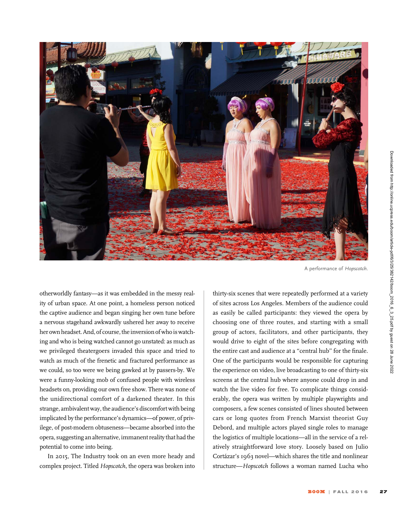

A performance of Hopscotch.

otherworldly fantasy—as it was embedded in the messy reality of urban space. At one point, a homeless person noticed the captive audience and began singing her own tune before a nervous stagehand awkwardly ushered her away to receive her own headset. And, of course, the inversion of who is watching and who is being watched cannot go unstated: as much as we privileged theatergoers invaded this space and tried to watch as much of the frenetic and fractured performance as we could, so too were we being gawked at by passers-by. We were a funny-looking mob of confused people with wireless headsets on, providing our own free show. There was none of the unidirectional comfort of a darkened theater. In this strange, ambivalent way, the audience's discomfort with being implicated by the performance's dynamics—of power, of privilege, of post-modern obtuseness—became absorbed into the opera, suggesting an alternative, immanent reality that had the potential to come into being.

In 2015, The Industry took on an even more heady and complex project. Titled Hopscotch, the opera was broken into thirty-six scenes that were repeatedly performed at a variety of sites across Los Angeles. Members of the audience could as easily be called participants: they viewed the opera by choosing one of three routes, and starting with a small group of actors, facilitators, and other participants, they would drive to eight of the sites before congregating with the entire cast and audience at a ''central hub'' for the finale. One of the participants would be responsible for capturing the experience on video, live broadcasting to one of thirty-six screens at the central hub where anyone could drop in and watch the live video for free. To complicate things considerably, the opera was written by multiple playwrights and composers, a few scenes consisted of lines shouted between cars or long quotes from French Marxist theorist Guy Debord, and multiple actors played single roles to manage the logistics of multiple locations—all in the service of a relatively straightforward love story. Loosely based on Julio Cortázar's 1963 novel—which shares the title and nonlinear structure—Hopscotch follows a woman named Lucha who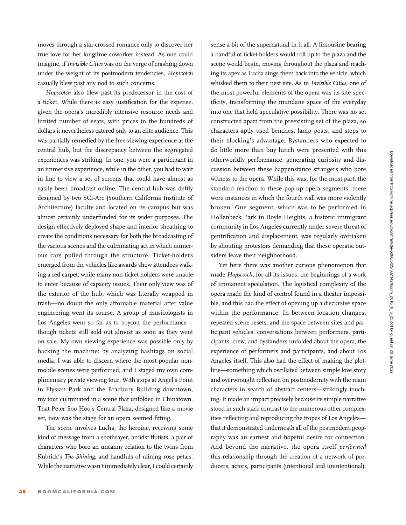moves through a star-crossed romance only to discover her true love for her longtime coworker instead. As one could imagine, if Invisible Cities was on the verge of crashing down under the weight of its postmodern tendencies, Hopscotch casually blew past any nod to such concerns.

Hopscotch also blew past its predecessor in the cost of a ticket. While there is easy justification for the expense, given the opera's incredibly intensive resource needs and limited number of seats, with prices in the hundreds of dollars it nevertheless catered only to an elite audience. This was partially remedied by the free viewing experience at the central hub, but the discrepancy between the segregated experiences was striking. In one, you were a participant in an immersive experience, while in the other, you had to wait in line to view a set of screens that could have almost as easily been broadcast online. The central hub was deftly designed by two SCI-Arc (Southern California Institute of Architecture) faculty and located on its campus but was almost certainly underfunded for its wider purposes. The design effectively deployed shape and interior sheathing to create the conditions necessary for both the broadcasting of the various scenes and the culminating act in which numerous cars pulled through the structure. Ticket-holders emerged from the vehicles like awards show attendees walking a red carpet, while many non-ticket-holders were unable to enter because of capacity issues. Their only view was of the exterior of the hub, which was literally wrapped in trash—no doubt the only affordable material after value engineering went its course. A group of musicologists in Los Angeles went so far as to boycott the performance though tickets still sold out almost as soon as they went on sale. My own viewing experience was possible only by hacking the machine: by analyzing hashtags on social media, I was able to discern where the most popular nonmobile scenes were performed, and I staged my own complimentary private viewing tour. With stops at Angel's Point in Elysian Park and the Bradbury Building downtown, my tour culminated in a scene that unfolded in Chinatown. That Peter Soo Hoo's Central Plaza, designed like a movie set, now was the stage for an opera seemed fitting.

The scene involves Lucha, the heroine, receiving some kind of message from a soothsayer, amidst flutists, a pair of characters who bore an uncanny relation to the twins from Kubrick's The Shining, and handfuls of raining rose petals. While the narrative wasn't immediately clear, I could certainly

sense a bit of the supernatural in it all. A limousine bearing a handful of ticket-holders would roll up to the plaza and the scene would begin, moving throughout the plaza and reaching its apex as Lucha sings them back into the vehicle, which whisked them to their next site. As in Invisible Cities, one of the most powerful elements of the opera was its site specificity, transforming the mundane space of the everyday into one that held speculative possibility. There was no set constructed apart from the preexisting set of the plaza, so characters aptly used benches, lamp posts, and steps to their blocking's advantage. Bystanders who expected to do little more than buy lunch were presented with this otherworldly performance, generating curiosity and discussion between these happenstance strangers who bore witness to the opera. While this was, for the most part, the standard reaction to these pop-up opera segments, there were instances in which the fourth wall was more violently broken. One segment, which was to be performed in Hollenbeck Park in Boyle Heights, a historic immigrant community in Los Angeles currently under severe threat of gentrification and displacement, was regularly overtaken by shouting protestors demanding that these operatic outsiders leave their neighborhood.

Yet here there was another curious phenomenon that made Hopscotch, for all its issues, the beginnings of a work of immanent speculation. The logistical complexity of the opera made the kind of control found in a theater impossible, and this had the effect of opening up a discursive space within the performance. In between location changes, repeated scene resets, and the space between sites and participant vehicles, conversations between performers, participants, crew, and bystanders unfolded about the opera, the experience of performers and participants, and about Los Angeles itself. This also had the effect of making the plotline—something which oscillated between simple love story and overwrought reflection on postmodernity with the main characters in search of abstract centers—strikingly touching. It made an impact precisely because its simple narrative stood in such stark contrast to the numerous other complexities reflecting and reproducing the tropes of Los Angeles that it demonstrated underneath all of the postmodern geography was an earnest and hopeful desire for connection. And beyond the narrative, the opera itself performed this relationship through the creation of a network of producers, actors, participants (intentional and unintentional),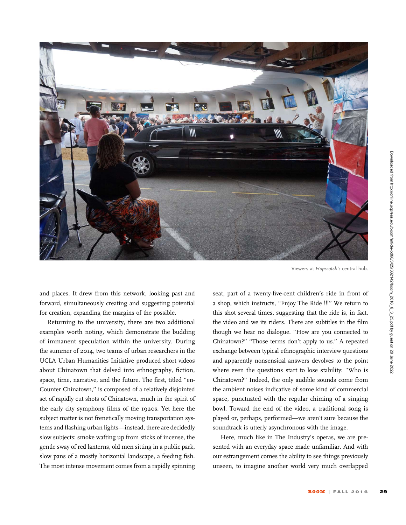

Viewers at Hopscotch's central hub.

and places. It drew from this network, looking past and forward, simultaneously creating and suggesting potential for creation, expanding the margins of the possible.

Returning to the university, there are two additional examples worth noting, which demonstrate the budding of immanent speculation within the university. During the summer of 2014, two teams of urban researchers in the UCLA Urban Humanities Initiative produced short videos about Chinatown that delved into ethnography, fiction, space, time, narrative, and the future. The first, titled ''en-Counter Chinatown,'' is composed of a relatively disjointed set of rapidly cut shots of Chinatown, much in the spirit of the early city symphony films of the 1920s. Yet here the subject matter is not frenetically moving transportation systems and flashing urban lights—instead, there are decidedly slow subjects: smoke wafting up from sticks of incense, the gentle sway of red lanterns, old men sitting in a public park, slow pans of a mostly horizontal landscape, a feeding fish. The most intense movement comes from a rapidly spinning

seat, part of a twenty-five-cent children's ride in front of a shop, which instructs, ''Enjoy The Ride !!!'' We return to this shot several times, suggesting that the ride is, in fact, the video and we its riders. There are subtitles in the film though we hear no dialogue. ''How are you connected to Chinatown?'' ''Those terms don't apply to us.'' A repeated exchange between typical ethnographic interview questions and apparently nonsensical answers devolves to the point where even the questions start to lose stability: ''Who is Chinatown?'' Indeed, the only audible sounds come from the ambient noises indicative of some kind of commercial space, punctuated with the regular chiming of a singing bowl. Toward the end of the video, a traditional song is played or, perhaps, performed—we aren't sure because the soundtrack is utterly asynchronous with the image.

Here, much like in The Industry's operas, we are presented with an everyday space made unfamiliar. And with our estrangement comes the ability to see things previously unseen, to imagine another world very much overlapped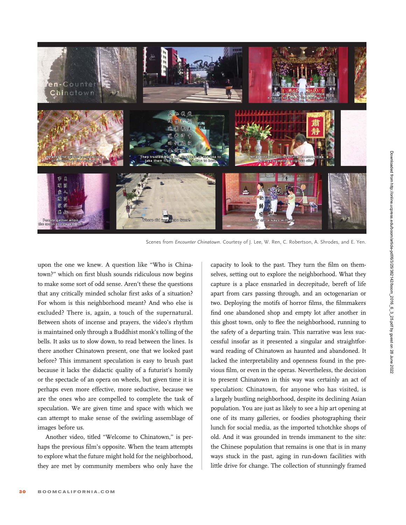

Scenes from Encounter Chinatown. Courtesy of J. Lee, W. Ren, C. Robertson, A. Shrodes, and E. Yen.

upon the one we knew. A question like ''Who is Chinatown?'' which on first blush sounds ridiculous now begins to make some sort of odd sense. Aren't these the questions that any critically minded scholar first asks of a situation? For whom is this neighborhood meant? And who else is excluded? There is, again, a touch of the supernatural. Between shots of incense and prayers, the video's rhythm is maintained only through a Buddhist monk's tolling of the bells. It asks us to slow down, to read between the lines. Is there another Chinatown present, one that we looked past before? This immanent speculation is easy to brush past because it lacks the didactic quality of a futurist's homily or the spectacle of an opera on wheels, but given time it is perhaps even more effective, more seductive, because we are the ones who are compelled to complete the task of speculation. We are given time and space with which we can attempt to make sense of the swirling assemblage of images before us.

Another video, titled ''Welcome to Chinatown,'' is perhaps the previous film's opposite. When the team attempts to explore what the future might hold for the neighborhood, they are met by community members who only have the

capacity to look to the past. They turn the film on themselves, setting out to explore the neighborhood. What they capture is a place ensnarled in decrepitude, bereft of life apart from cars passing through, and an octogenarian or two. Deploying the motifs of horror films, the filmmakers find one abandoned shop and empty lot after another in this ghost town, only to flee the neighborhood, running to the safety of a departing train. This narrative was less successful insofar as it presented a singular and straightforward reading of Chinatown as haunted and abandoned. It lacked the interpretability and openness found in the previous film, or even in the operas. Nevertheless, the decision to present Chinatown in this way was certainly an act of speculation: Chinatown, for anyone who has visited, is a largely bustling neighborhood, despite its declining Asian population. You are just as likely to see a hip art opening at one of its many galleries, or foodies photographing their lunch for social media, as the imported tchotchke shops of old. And it was grounded in trends immanent to the site: the Chinese population that remains is one that is in many ways stuck in the past, aging in run-down facilities with little drive for change. The collection of stunningly framed